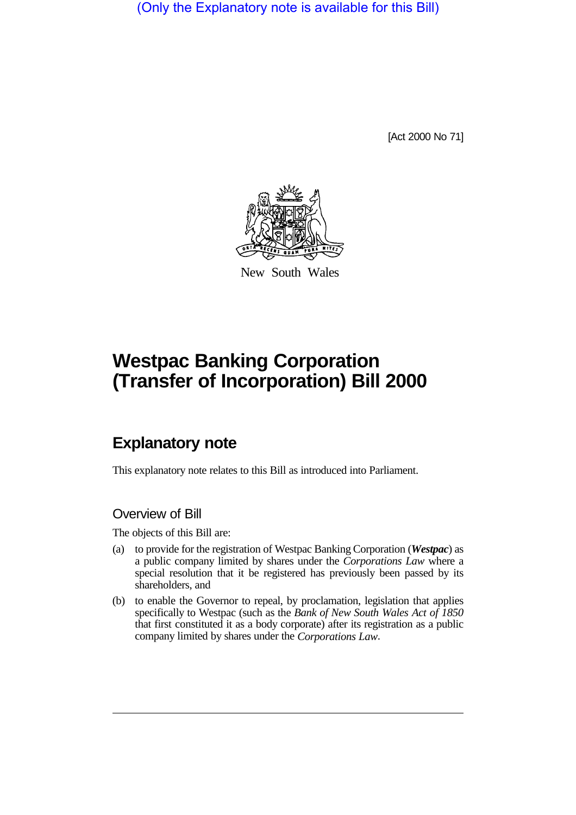(Only the Explanatory note is available for this Bill)

[Act 2000 No 71]



New South Wales

# **Westpac Banking Corporation (Transfer of Incorporation) Bill 2000**

# **Explanatory note**

This explanatory note relates to this Bill as introduced into Parliament.

### Overview of Bill

The objects of this Bill are:

- (a) to provide for the registration of Westpac Banking Corporation (*Westpac*) as a public company limited by shares under the *Corporations Law* where a special resolution that it be registered has previously been passed by its shareholders, and
- (b) to enable the Governor to repeal, by proclamation, legislation that applies specifically to Westpac (such as the *Bank of New South Wales Act of 1850* that first constituted it as a body corporate) after its registration as a public company limited by shares under the *Corporations Law*.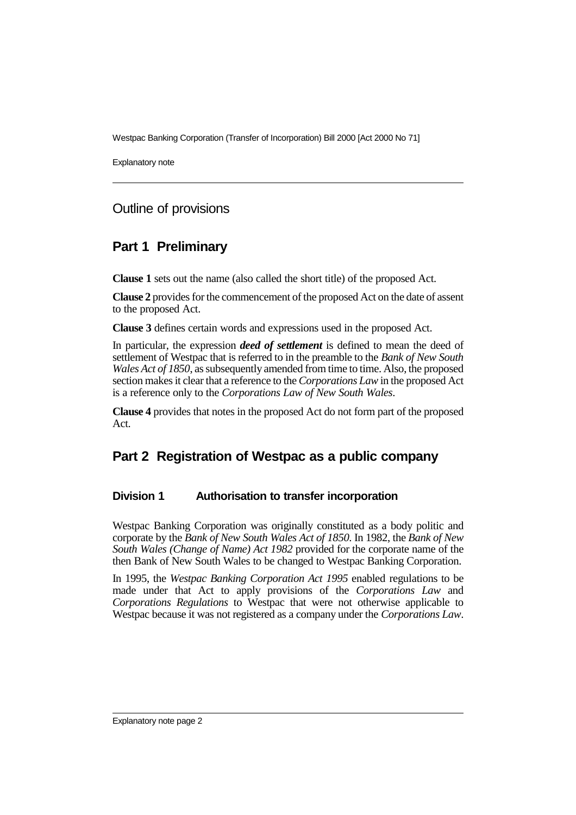Explanatory note

# Outline of provisions

# **Part 1 Preliminary**

**Clause 1** sets out the name (also called the short title) of the proposed Act.

**Clause 2** provides for the commencement of the proposed Act on the date of assent to the proposed Act.

**Clause 3** defines certain words and expressions used in the proposed Act.

In particular, the expression *deed of settlement* is defined to mean the deed of settlement of Westpac that is referred to in the preamble to the *Bank of New South Wales Act of 1850*, as subsequently amended from time to time. Also, the proposed section makes it clear that a reference to the *Corporations Law* in the proposed Act is a reference only to the *Corporations Law of New South Wales*.

**Clause 4** provides that notes in the proposed Act do not form part of the proposed Act.

# **Part 2 Registration of Westpac as a public company**

### **Division 1 Authorisation to transfer incorporation**

Westpac Banking Corporation was originally constituted as a body politic and corporate by the *Bank of New South Wales Act of 1850*. In 1982, the *Bank of New South Wales (Change of Name) Act 1982* provided for the corporate name of the then Bank of New South Wales to be changed to Westpac Banking Corporation.

In 1995, the *Westpac Banking Corporation Act 1995* enabled regulations to be made under that Act to apply provisions of the *Corporations Law* and *Corporations Regulations* to Westpac that were not otherwise applicable to Westpac because it was not registered as a company under the *Corporations Law*.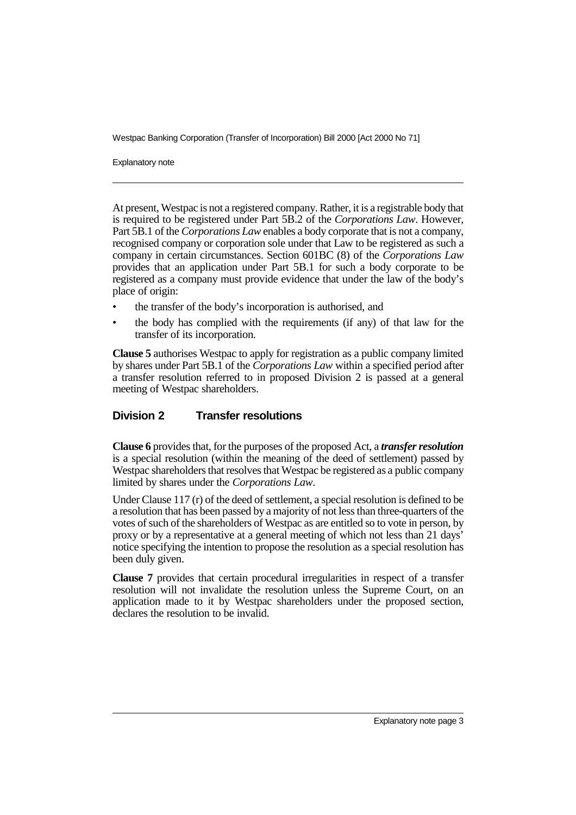Explanatory note

At present, Westpac is not a registered company. Rather, it is a registrable body that is required to be registered under Part 5B.2 of the *Corporations Law*. However, Part 5B.1 of the *Corporations Law* enables a body corporate that is not a company, recognised company or corporation sole under that Law to be registered as such a company in certain circumstances. Section 601BC (8) of the *Corporations Law* provides that an application under Part 5B.1 for such a body corporate to be registered as a company must provide evidence that under the law of the body's place of origin:

- the transfer of the body's incorporation is authorised, and
- the body has complied with the requirements (if any) of that law for the transfer of its incorporation.

**Clause 5** authorises Westpac to apply for registration as a public company limited by shares under Part 5B.1 of the *Corporations Law* within a specified period after a transfer resolution referred to in proposed Division 2 is passed at a general meeting of Westpac shareholders.

#### **Division 2 Transfer resolutions**

**Clause 6** provides that, for the purposes of the proposed Act, a *transfer resolution* is a special resolution (within the meaning of the deed of settlement) passed by Westpac shareholders that resolves that Westpac be registered as a public company limited by shares under the *Corporations Law*.

Under Clause 117 (r) of the deed of settlement, a special resolution is defined to be a resolution that has been passed by a majority of not less than three-quarters of the votes of such of the shareholders of Westpac as are entitled so to vote in person, by proxy or by a representative at a general meeting of which not less than 21 days' notice specifying the intention to propose the resolution as a special resolution has been duly given.

**Clause 7** provides that certain procedural irregularities in respect of a transfer resolution will not invalidate the resolution unless the Supreme Court, on an application made to it by Westpac shareholders under the proposed section, declares the resolution to be invalid.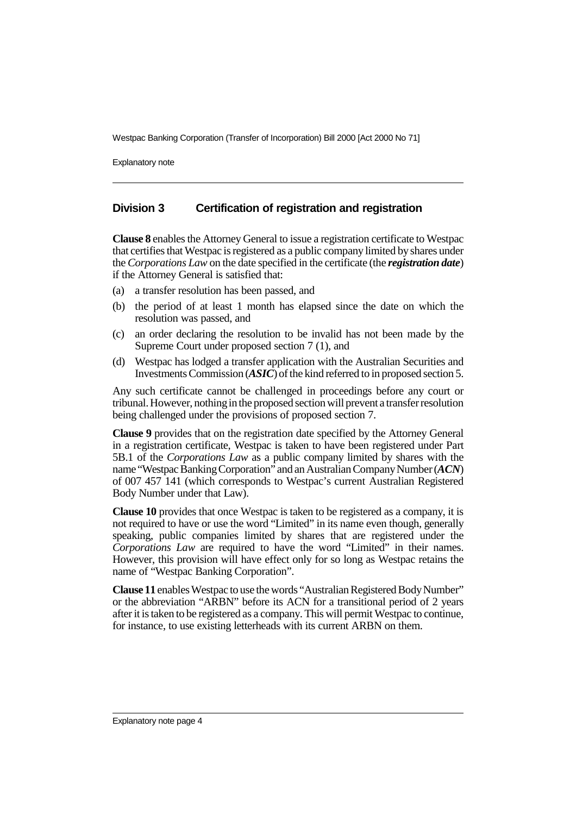Explanatory note

#### **Division 3 Certification of registration and registration**

**Clause 8** enables the Attorney General to issue a registration certificate to Westpac that certifies that Westpac is registered as a public company limited by shares under the *Corporations Law* on the date specified in the certificate (the *registration date*) if the Attorney General is satisfied that:

- (a) a transfer resolution has been passed, and
- (b) the period of at least 1 month has elapsed since the date on which the resolution was passed, and
- (c) an order declaring the resolution to be invalid has not been made by the Supreme Court under proposed section 7 (1), and
- (d) Westpac has lodged a transfer application with the Australian Securities and Investments Commission (*ASIC*) of the kind referred to in proposed section 5.

Any such certificate cannot be challenged in proceedings before any court or tribunal. However, nothing in the proposed section will prevent a transfer resolution being challenged under the provisions of proposed section 7.

**Clause 9** provides that on the registration date specified by the Attorney General in a registration certificate, Westpac is taken to have been registered under Part 5B.1 of the *Corporations Law* as a public company limited by shares with the name "Westpac Banking Corporation" and an Australian Company Number (*ACN*) of 007 457 141 (which corresponds to Westpac's current Australian Registered Body Number under that Law).

**Clause 10** provides that once Westpac is taken to be registered as a company, it is not required to have or use the word "Limited" in its name even though, generally speaking, public companies limited by shares that are registered under the *Corporations Law* are required to have the word "Limited" in their names. However, this provision will have effect only for so long as Westpac retains the name of "Westpac Banking Corporation".

**Clause 11** enables Westpac to use the words "Australian Registered Body Number" or the abbreviation "ARBN" before its ACN for a transitional period of 2 years after it is taken to be registered as a company. This will permit Westpac to continue, for instance, to use existing letterheads with its current ARBN on them.